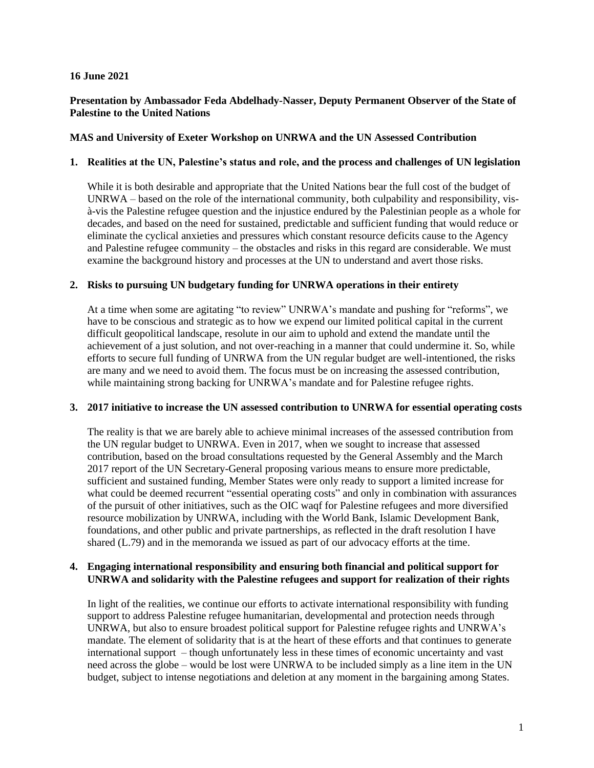## **16 June 2021**

# **Presentation by Ambassador Feda Abdelhady-Nasser, Deputy Permanent Observer of the State of Palestine to the United Nations**

## **MAS and University of Exeter Workshop on UNRWA and the UN Assessed Contribution**

#### **1. Realities at the UN, Palestine's status and role, and the process and challenges of UN legislation**

While it is both desirable and appropriate that the United Nations bear the full cost of the budget of UNRWA – based on the role of the international community, both culpability and responsibility, visà-vis the Palestine refugee question and the injustice endured by the Palestinian people as a whole for decades, and based on the need for sustained, predictable and sufficient funding that would reduce or eliminate the cyclical anxieties and pressures which constant resource deficits cause to the Agency and Palestine refugee community – the obstacles and risks in this regard are considerable. We must examine the background history and processes at the UN to understand and avert those risks.

## **2. Risks to pursuing UN budgetary funding for UNRWA operations in their entirety**

At a time when some are agitating "to review" UNRWA's mandate and pushing for "reforms", we have to be conscious and strategic as to how we expend our limited political capital in the current difficult geopolitical landscape, resolute in our aim to uphold and extend the mandate until the achievement of a just solution, and not over-reaching in a manner that could undermine it. So, while efforts to secure full funding of UNRWA from the UN regular budget are well-intentioned, the risks are many and we need to avoid them. The focus must be on increasing the assessed contribution, while maintaining strong backing for UNRWA's mandate and for Palestine refugee rights.

#### **3. 2017 initiative to increase the UN assessed contribution to UNRWA for essential operating costs**

The reality is that we are barely able to achieve minimal increases of the assessed contribution from the UN regular budget to UNRWA. Even in 2017, when we sought to increase that assessed contribution, based on the broad consultations requested by the General Assembly and the March 2017 report of the UN Secretary-General proposing various means to ensure more predictable, sufficient and sustained funding, Member States were only ready to support a limited increase for what could be deemed recurrent "essential operating costs" and only in combination with assurances of the pursuit of other initiatives, such as the OIC waqf for Palestine refugees and more diversified resource mobilization by UNRWA, including with the World Bank, Islamic Development Bank, foundations, and other public and private partnerships, as reflected in the draft resolution I have shared (L.79) and in the memoranda we issued as part of our advocacy efforts at the time.

# **4. Engaging international responsibility and ensuring both financial and political support for UNRWA and solidarity with the Palestine refugees and support for realization of their rights**

In light of the realities, we continue our efforts to activate international responsibility with funding support to address Palestine refugee humanitarian, developmental and protection needs through UNRWA, but also to ensure broadest political support for Palestine refugee rights and UNRWA's mandate. The element of solidarity that is at the heart of these efforts and that continues to generate international support – though unfortunately less in these times of economic uncertainty and vast need across the globe – would be lost were UNRWA to be included simply as a line item in the UN budget, subject to intense negotiations and deletion at any moment in the bargaining among States.